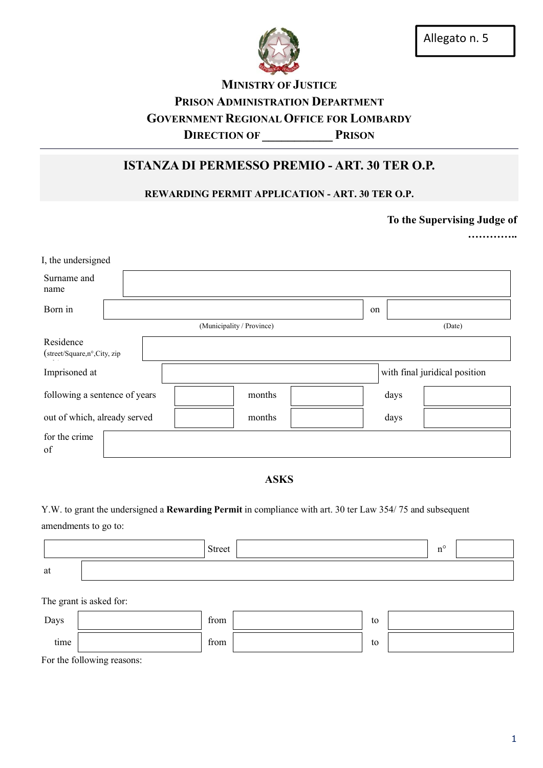

# **MINISTRY OF JUSTICE** PRISON ADMINISTRATION DEPARTMENT GOVERNMENT REGIONAL OFFICE FOR LOMBARDY DIRECTION OF PRISON

## ISTANZA DI PERMESSO PREMIO - ART. 30 TER O.P.

## REWARDING PERMIT APPLICATION - ART. 30 TER O.P.

To the Supervising Judge of

……………

| I, the undersigned<br>Surname and<br>name |  |                           |        |                               |  |  |
|-------------------------------------------|--|---------------------------|--------|-------------------------------|--|--|
| Born in                                   |  |                           | on     |                               |  |  |
|                                           |  | (Municipality / Province) | (Date) |                               |  |  |
| Residence<br>(street/Square,n°,City, zip  |  |                           |        |                               |  |  |
| Imprisoned at                             |  |                           |        | with final juridical position |  |  |
| following a sentence of years             |  | months                    | days   |                               |  |  |
| out of which, already served              |  | months                    | days   |                               |  |  |
| for the crime<br>of                       |  |                           |        |                               |  |  |

### ASKS

Y.W. to grant the undersigned a Rewarding Permit in compliance with art. 30 ter Law 354/ 75 and subsequent

amendments to go to:

|                         |                                    | <b>Street</b> |  |    |  | $n^{\circ}$ |  |
|-------------------------|------------------------------------|---------------|--|----|--|-------------|--|
| at                      |                                    |               |  |    |  |             |  |
| The grant is asked for: |                                    |               |  |    |  |             |  |
| Days                    |                                    | from          |  | to |  |             |  |
| time                    |                                    | from          |  | to |  |             |  |
|                         | $\Gamma$ or the following reasons: |               |  |    |  |             |  |

For the following reasons: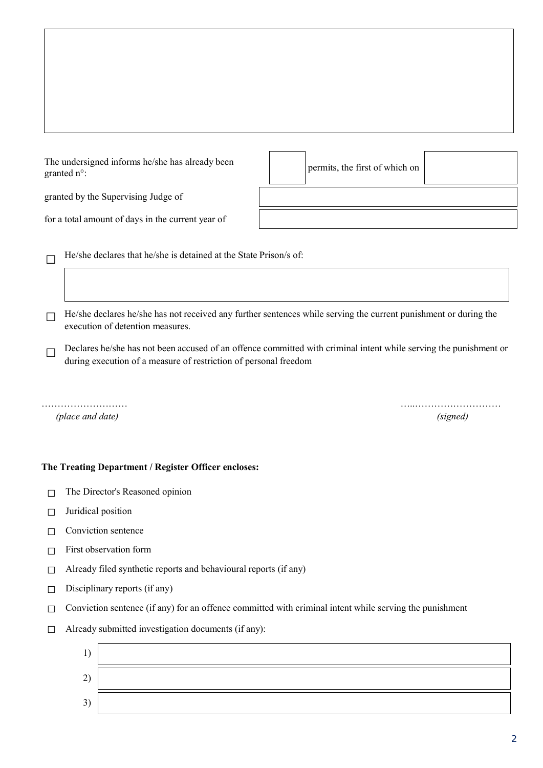The undersigned informs he/she has already been The undersigned miorins ne/site has already been<br>granted  $n^{\circ}$ :

granted by the Supervising Judge of

for a total amount of days in the current year of

 $\Box$  He/she declares that he/she is detained at the State Prison/s of:

 $\Box$  He/she declares he/she has not received any further sentences while serving the current punishment or during the execution of detention measures.

 $\Box$  Declares he/she has not been accused of an offence committed with criminal intent while serving the punishment or during execution of a measure of restriction of personal freedom

*(place and date) (signed)*

### The Treating Department / Register Officer encloses:

- □ The Director's Reasoned opinion
- $\Box$  Juridical position
- $\Box$  Conviction sentence
- $\Box$  First observation form
- $\Box$  Already filed synthetic reports and behavioural reports (if any)
- $\Box$  Disciplinary reports (if any)
- $\Box$  Conviction sentence (if any) for an offence committed with criminal intent while serving the punishment
- $\Box$  Already submitted investigation documents (if any):



……………………… …..………………………